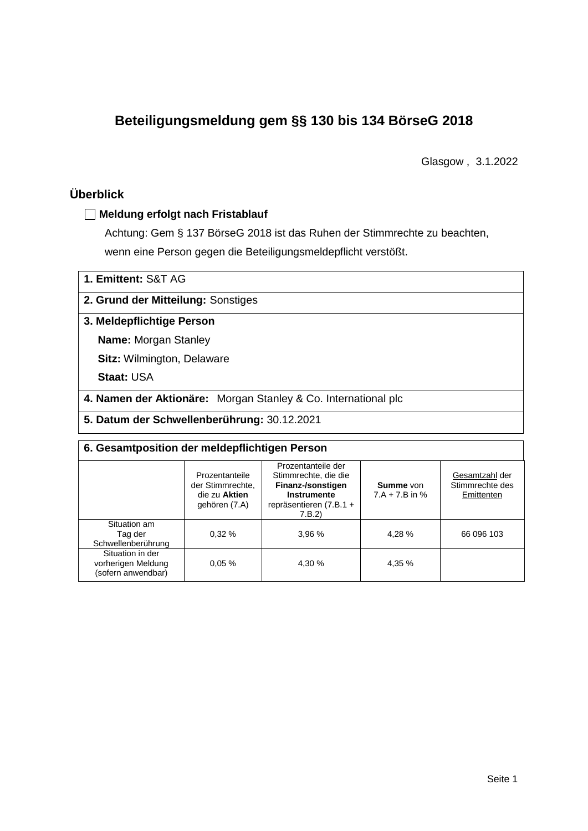# **Beteiligungsmeldung gem §§ 130 bis 134 BörseG 2018**

Glasgow , 3.1.2022

# **Überblick**

### **Meldung erfolgt nach Fristablauf**

Achtung: Gem § 137 BörseG 2018 ist das Ruhen der Stimmrechte zu beachten, wenn eine Person gegen die Beteiligungsmeldepflicht verstößt.

## **2. Grund der Mitteilung:** Sonstiges

### **3. Meldepflichtige Person**

**Name:** Morgan Stanley

**Sitz:** Wilmington, Delaware

**Staat:** USA

**4. Namen der Aktionäre:** Morgan Stanley & Co. International plc

**5. Datum der Schwellenberührung:** 30.12.2021

| 6. Gesamtposition der meldepflichtigen Person                |                                                                      |                                                                                                                      |        |                                                 |  |  |
|--------------------------------------------------------------|----------------------------------------------------------------------|----------------------------------------------------------------------------------------------------------------------|--------|-------------------------------------------------|--|--|
|                                                              | Prozentanteile<br>der Stimmrechte.<br>die zu Aktien<br>gehören (7.A) | Prozentanteile der<br>Stimmrechte, die die<br>Finanz-/sonstigen<br>Instrumente<br>repräsentieren $(7.B.1 +$<br>7.B.2 |        | Gesamtzahl der<br>Stimmrechte des<br>Emittenten |  |  |
| Situation am<br>Tag der<br>Schwellenberührung                | 0.32%                                                                | 3.96 %                                                                                                               | 4,28 % | 66 096 103                                      |  |  |
| Situation in der<br>vorherigen Meldung<br>(sofern anwendbar) | 0.05%                                                                | 4.30 %                                                                                                               | 4,35 % |                                                 |  |  |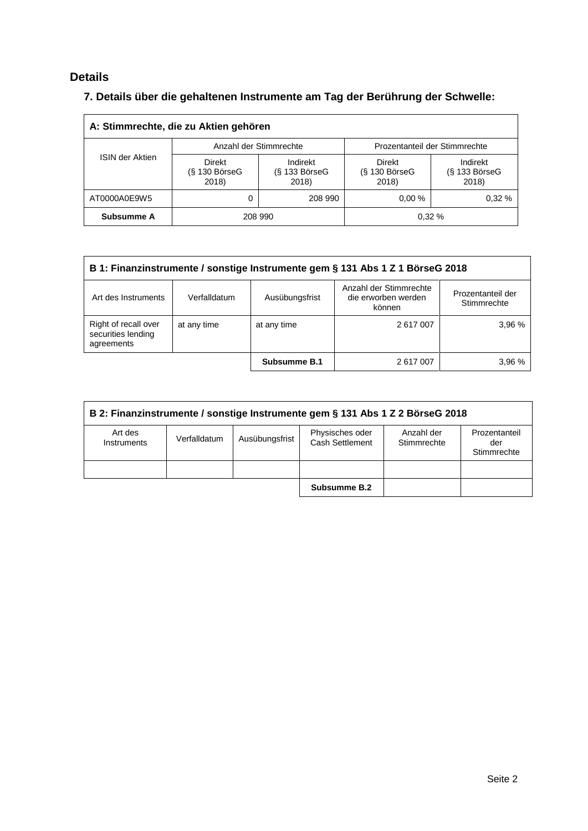# **Details**

# **7. Details über die gehaltenen Instrumente am Tag der Berührung der Schwelle:**

| A: Stimmrechte, die zu Aktien gehören |                                                          |                        |                                           |                                      |  |  |
|---------------------------------------|----------------------------------------------------------|------------------------|-------------------------------------------|--------------------------------------|--|--|
|                                       |                                                          | Anzahl der Stimmrechte | Prozentanteil der Stimmrechte             |                                      |  |  |
|                                       | ISIN der Aktien<br>Direkt<br>$(S$ 130 Börse $G$<br>2018) |                        | <b>Direkt</b><br>$(S$ 130 BörseG<br>2018) | Indirekt<br>$(S$ 133 BörseG<br>2018) |  |  |
| AT0000A0E9W5                          |                                                          | 208 990                | $0.00 \%$                                 | 0.32%                                |  |  |
| Subsumme A                            |                                                          | 208 990                |                                           | 0.32%                                |  |  |

| B 1: Finanzinstrumente / sonstige Instrumente gem § 131 Abs 1 Z 1 BörseG 2018                                                                        |             |              |           |        |  |  |
|------------------------------------------------------------------------------------------------------------------------------------------------------|-------------|--------------|-----------|--------|--|--|
| Anzahl der Stimmrechte<br>Prozentanteil der<br>die erworben werden<br>Art des Instruments<br>Ausübungsfrist<br>Verfalldatum<br>Stimmrechte<br>können |             |              |           |        |  |  |
| Right of recall over<br>securities lending<br>agreements                                                                                             | at any time | at any time  | 2 617 007 | 3.96%  |  |  |
|                                                                                                                                                      |             | Subsumme B.1 | 2 617 007 | 3,96 % |  |  |

| B 2: Finanzinstrumente / sonstige Instrumente gem § 131 Abs 1 Z 2 BörseG 2018 |              |                |                                    |                           |                                     |
|-------------------------------------------------------------------------------|--------------|----------------|------------------------------------|---------------------------|-------------------------------------|
| Art des<br>Instruments                                                        | Verfalldatum | Ausübungsfrist | Physisches oder<br>Cash Settlement | Anzahl der<br>Stimmrechte | Prozentanteil<br>der<br>Stimmrechte |
|                                                                               |              |                |                                    |                           |                                     |
|                                                                               |              |                | Subsumme B.2                       |                           |                                     |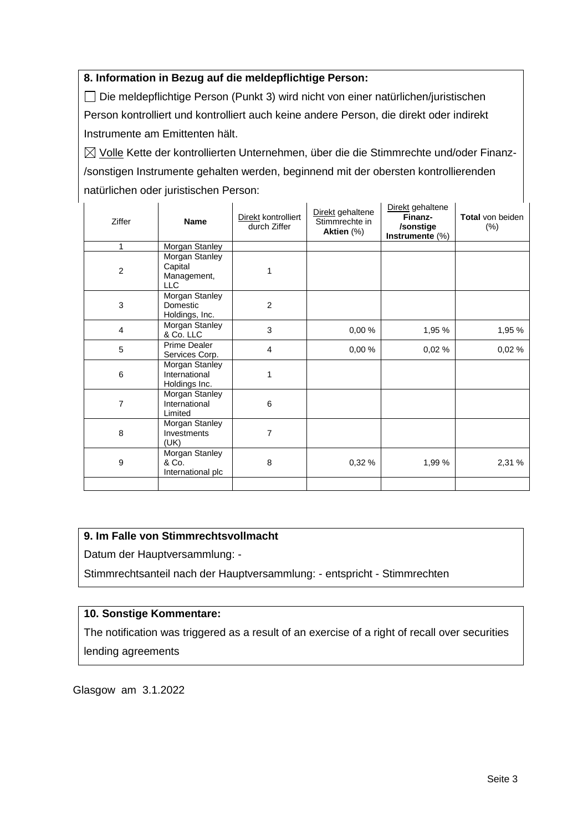### **8. Information in Bezug auf die meldepflichtige Person:**

Die meldepflichtige Person (Punkt 3) wird nicht von einer natürlichen/juristischen Person kontrolliert und kontrolliert auch keine andere Person, die direkt oder indirekt Instrumente am Emittenten hält.

 $\boxtimes$  Volle Kette der kontrollierten Unternehmen, über die die Stimmrechte und/oder Finanz-/sonstigen Instrumente gehalten werden, beginnend mit der obersten kontrollierenden natürlichen oder juristischen Person:

| Ziffer                  | <b>Name</b>                                            | Direkt kontrolliert<br>durch Ziffer | Direkt gehaltene<br>Stimmrechte in<br>Aktien (%) | Direkt gehaltene<br>Finanz-<br>/sonstige<br>Instrumente (%) | <b>Total</b> von beiden<br>$(\%)$ |
|-------------------------|--------------------------------------------------------|-------------------------------------|--------------------------------------------------|-------------------------------------------------------------|-----------------------------------|
| 1                       | Morgan Stanley                                         |                                     |                                                  |                                                             |                                   |
| $\overline{c}$          | Morgan Stanley<br>Capital<br>Management,<br><b>LLC</b> | 1                                   |                                                  |                                                             |                                   |
| 3                       | Morgan Stanley<br>Domestic<br>Holdings, Inc.           | $\overline{2}$                      |                                                  |                                                             |                                   |
| $\overline{\mathbf{4}}$ | Morgan Stanley<br>& Co. LLC                            | 3                                   | 0,00%                                            | 1,95 %                                                      | 1,95 %                            |
| 5                       | Prime Dealer<br>Services Corp.                         | $\overline{4}$                      | 0,00%                                            | 0,02%                                                       | 0,02%                             |
| 6                       | Morgan Stanley<br>International<br>Holdings Inc.       | 1                                   |                                                  |                                                             |                                   |
| $\overline{7}$          | Morgan Stanley<br>International<br>Limited             | 6                                   |                                                  |                                                             |                                   |
| 8                       | Morgan Stanley<br>Investments<br>(UK)                  | 7                                   |                                                  |                                                             |                                   |
| 9                       | Morgan Stanley<br>& Co.<br>International plc           | 8                                   | 0,32%                                            | 1,99 %                                                      | 2,31 %                            |
|                         |                                                        |                                     |                                                  |                                                             |                                   |

## **9. Im Falle von Stimmrechtsvollmacht**

Datum der Hauptversammlung: -

Stimmrechtsanteil nach der Hauptversammlung: - entspricht - Stimmrechten

#### **10. Sonstige Kommentare:**

The notification was triggered as a result of an exercise of a right of recall over securities lending agreements

Glasgow am 3.1.2022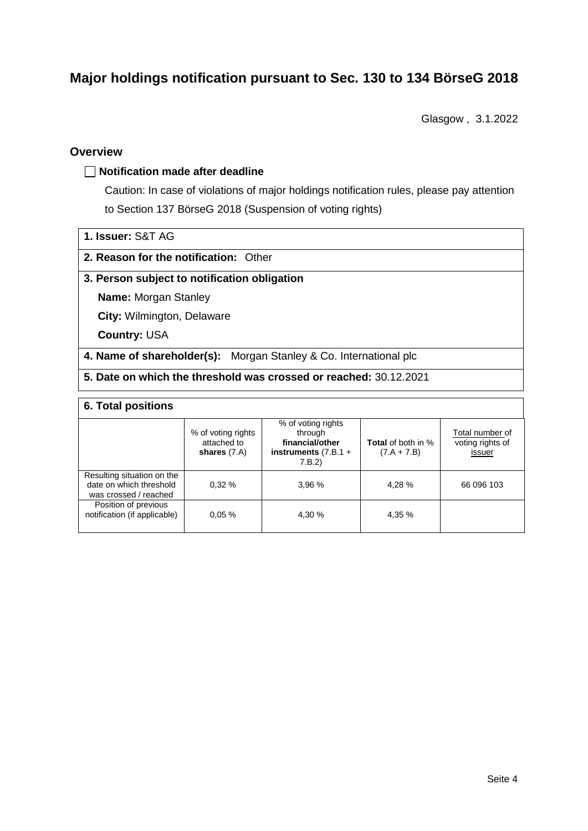# **Major holdings notification pursuant to Sec. 130 to 134 BörseG 2018**

Glasgow , 3.1.2022

### **Overview**

#### **Notification made after deadline**

Caution: In case of violations of major holdings notification rules, please pay attention to Section 137 BörseG 2018 (Suspension of voting rights)

| 1. Issuer: S&T AG |  |
|-------------------|--|
|                   |  |

### **2. Reason for the notification:** Other

#### **3. Person subject to notification obligation**

**Name:** Morgan Stanley

**City:** Wilmington, Delaware

**Country:** USA

**4. Name of shareholder(s):** Morgan Stanley & Co. International plc

**5. Date on which the threshold was crossed or reached:** 30.12.2021

### **6. Total positions**

|                                                                                | % of voting rights<br>attached to<br>shares $(7.A)$ | % of voting rights<br>through<br>financial/other<br>instruments $(7.B.1 +$<br>7.B.2 | <b>Total</b> of both in %<br>$(7.A + 7.B)$ | Total number of<br>voting rights of<br>issuer |
|--------------------------------------------------------------------------------|-----------------------------------------------------|-------------------------------------------------------------------------------------|--------------------------------------------|-----------------------------------------------|
| Resulting situation on the<br>date on which threshold<br>was crossed / reached | 0.32%                                               | 3.96%                                                                               | 4.28 %                                     | 66 096 103                                    |
| Position of previous<br>notification (if applicable)                           | 0.05%                                               | 4.30 %                                                                              | 4,35 %                                     |                                               |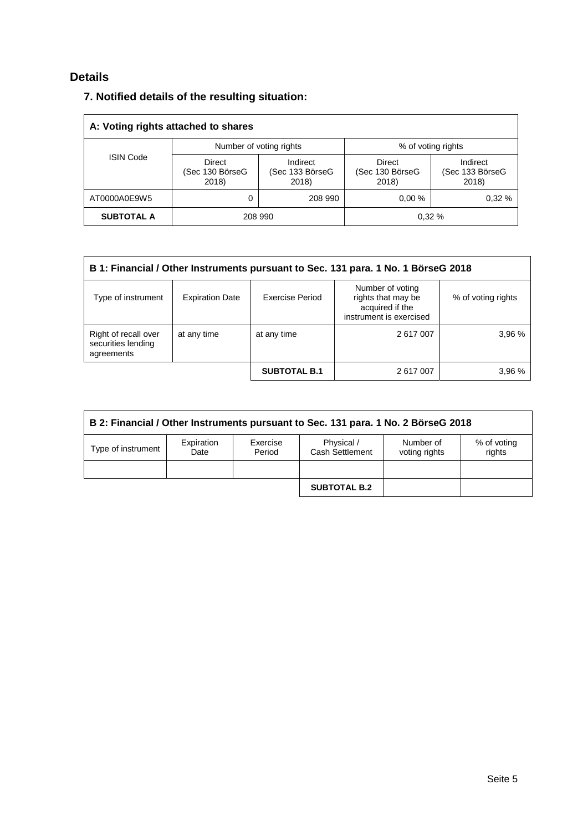# **Details**

## **7. Notified details of the resulting situation:**

| A: Voting rights attached to shares |                                    |                                      |                                           |                                      |  |
|-------------------------------------|------------------------------------|--------------------------------------|-------------------------------------------|--------------------------------------|--|
|                                     |                                    | Number of voting rights              | % of voting rights                        |                                      |  |
| <b>ISIN Code</b>                    | Direct<br>(Sec 130 BörseG<br>2018) | Indirect<br>(Sec 133 BörseG<br>2018) | <b>Direct</b><br>(Sec 130 BörseG<br>2018) | Indirect<br>(Sec 133 BörseG<br>2018) |  |
| AT0000A0E9W5                        |                                    | 208 990                              | $0.00 \%$                                 | 0.32%                                |  |
| <b>SUBTOTAL A</b>                   |                                    | 208 990                              |                                           | 0.32%                                |  |

| B 1: Financial / Other Instruments pursuant to Sec. 131 para. 1 No. 1 BörseG 2018                                                                                             |             |                     |           |        |  |  |
|-------------------------------------------------------------------------------------------------------------------------------------------------------------------------------|-------------|---------------------|-----------|--------|--|--|
| Number of voting<br>rights that may be<br>Exercise Period<br>Type of instrument<br><b>Expiration Date</b><br>% of voting rights<br>acquired if the<br>instrument is exercised |             |                     |           |        |  |  |
| Right of recall over<br>securities lending<br>agreements                                                                                                                      | at any time | at any time         | 2 617 007 | 3,96 % |  |  |
|                                                                                                                                                                               |             | <b>SUBTOTAL B.1</b> | 2 617 007 | 3.96 % |  |  |

| B 2: Financial / Other Instruments pursuant to Sec. 131 para. 1 No. 2 BörseG 2018 |                    |                    |                               |                            |                       |
|-----------------------------------------------------------------------------------|--------------------|--------------------|-------------------------------|----------------------------|-----------------------|
| Type of instrument                                                                | Expiration<br>Date | Exercise<br>Period | Physical /<br>Cash Settlement | Number of<br>voting rights | % of voting<br>rights |
|                                                                                   |                    |                    |                               |                            |                       |
|                                                                                   |                    |                    | <b>SUBTOTAL B.2</b>           |                            |                       |